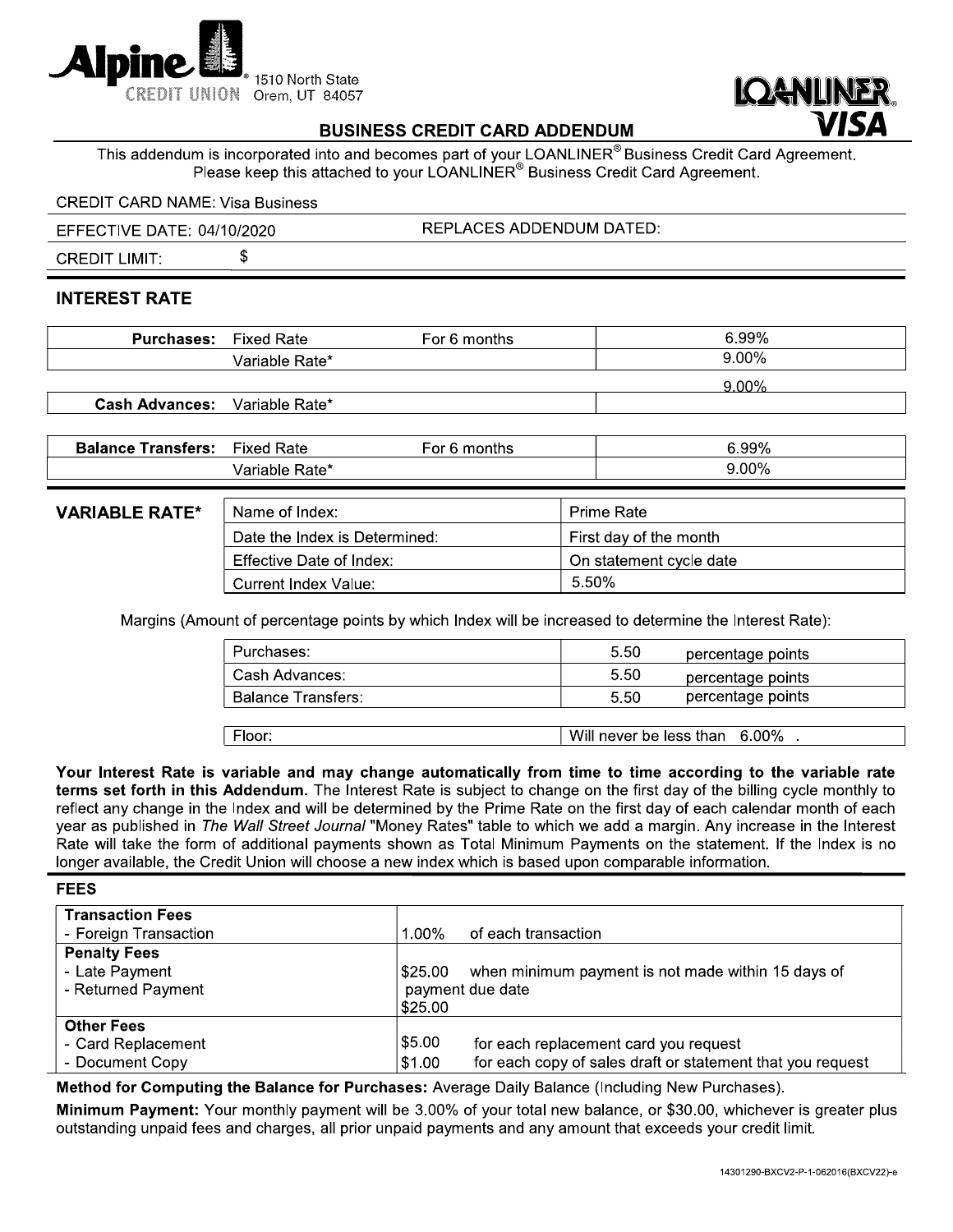



## **BUSINESS CREDIT CARD ADDENDUM**

This addendum is incorporated into and becomes part of your LOANLINER® Business Credit Card Agreement. Please keep this attached to your LOANLINER® Business Credit Card Agreement.

#### **CREDIT CARD NAME: Visa Business**

\$

**REPLACES ADDENDUM DATED:** EFFECTIVE DATE: 04/10/2020

**CREDIT LIMIT:** 

### **INTEREST RATE**

| <b>Purchases:</b>     | Fixed Rate     | For 6 months | 6.99% |
|-----------------------|----------------|--------------|-------|
|                       | Variable Rate* |              | 9.00% |
|                       |                |              | 9.00% |
| <b>Cash Advances:</b> | Variable Rate* |              |       |

| Balance    | Fixed                               | months | 99%  |
|------------|-------------------------------------|--------|------|
| ˈransters: | Rate                                | -or    |      |
|            | . Rate*<br>$I \cap I \cap I$<br>nıe |        | .00% |

### **VARIABLE RA**

| TF* | Name of Index:                | <b>Prime Rate</b>       |
|-----|-------------------------------|-------------------------|
|     | Date the Index is Determined: | First day of the month  |
|     | Effective Date of Index:      | On statement cycle date |
|     | Current Index Value:          | 5.50%                   |

Margins (Amount of percentage points by which Index will be increased to determine the Interest Rate):

| Purchases:                | 5.50<br>percentage points     |  |
|---------------------------|-------------------------------|--|
| Cash Advances:            | 5.50<br>percentage points     |  |
| <b>Balance Transfers:</b> | percentage points<br>5.50     |  |
|                           |                               |  |
| Floor:                    | Will never be less than 6,00% |  |

Your Interest Rate is variable and may change automatically from time to time according to the variable rate terms set forth in this Addendum. The Interest Rate is subject to change on the first day of the billing cycle monthly to reflect any change in the Index and will be determined by the Prime Rate on the first day of each calendar month of each year as published in The Wall Street Journal "Money Rates" table to which we add a margin. Any increase in the Interest Rate will take the form of additional payments shown as Total Minimum Payments on the statement. If the Index is no longer available, the Credit Union will choose a new index which is based upon comparable information.

| <b>FEES</b>                                                 |                                                                                                                         |
|-------------------------------------------------------------|-------------------------------------------------------------------------------------------------------------------------|
| <b>Transaction Fees</b><br>- Foreign Transaction            | 1.00%<br>of each transaction                                                                                            |
| <b>Penalty Fees</b><br>- Late Payment<br>- Returned Payment | when minimum payment is not made within 15 days of<br> \$25.00<br>payment due date<br>\$25.00                           |
| <b>Other Fees</b><br>- Card Replacement<br>- Document Copy  | \$5.00<br>for each replacement card you request<br>for each copy of sales draft or statement that you request<br>\$1.00 |

Method for Computing the Balance for Purchases: Average Daily Balance (Including New Purchases).

Minimum Payment: Your monthly payment will be 3.00% of your total new balance, or \$30.00, whichever is greater plus outstanding unpaid fees and charges, all prior unpaid payments and any amount that exceeds your credit limit.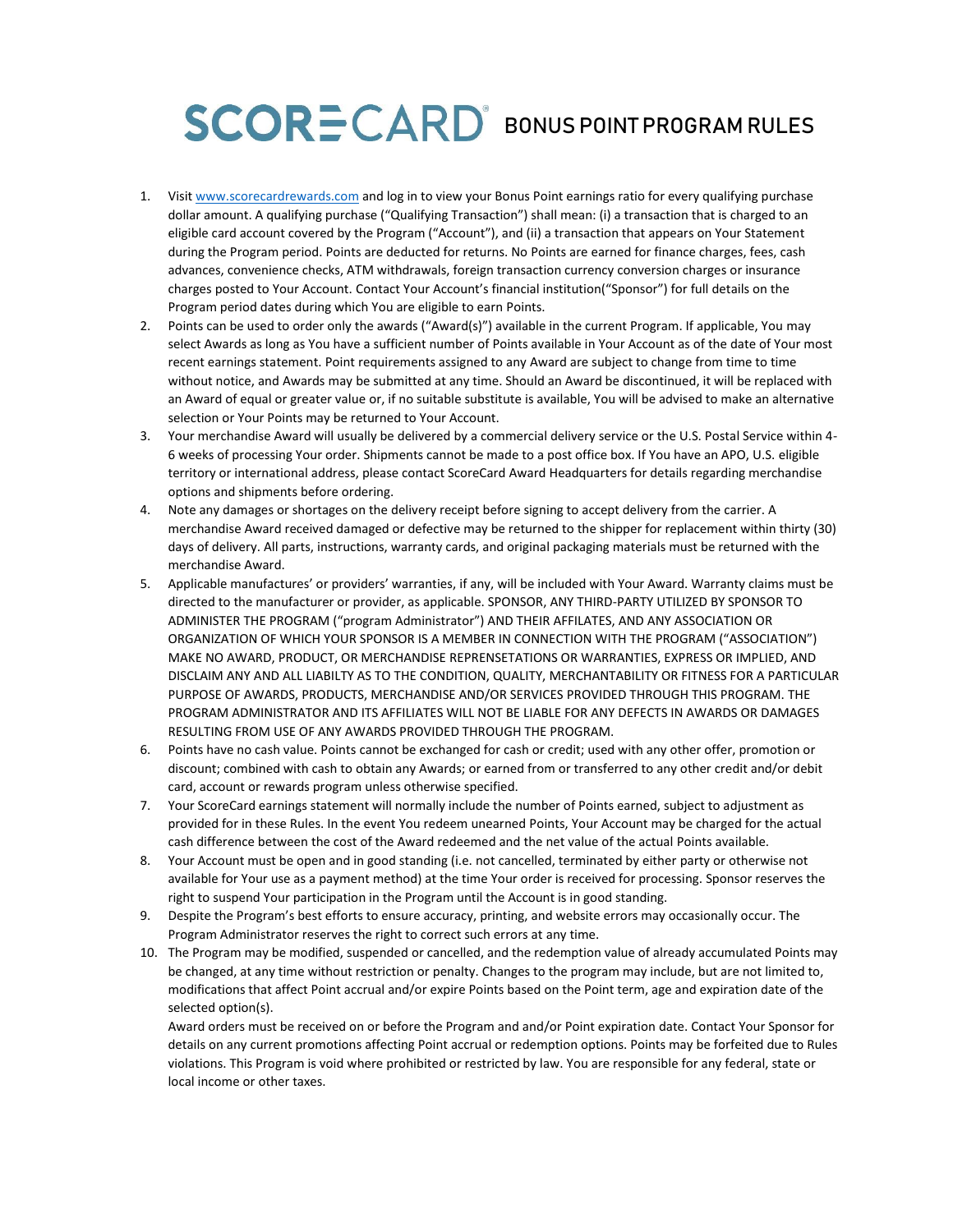# SCORE CARD<sup>®</sup> BONUS POINT PROGRAM RULES

- 1. Visit [www.scorecardrewards.com](http://www.scorecardrewards.com/) and log in to view your Bonus Point earnings ratio for every qualifying purchase dollar amount. A qualifying purchase ("Qualifying Transaction") shall mean: (i) a transaction that is charged to an eligible card account covered by the Program ("Account"), and (ii) a transaction that appears on Your Statement during the Program period. Points are deducted for returns. No Points are earned for finance charges, fees, cash advances, convenience checks, ATM withdrawals, foreign transaction currency conversion charges or insurance charges posted to Your Account. Contact Your Account's financial institution("Sponsor") for full details on the Program period dates during which You are eligible to earn Points.
- 2. Points can be used to order only the awards ("Award(s)") available in the current Program. If applicable, You may select Awards as long as You have a sufficient number of Points available in Your Account as of the date of Your most recent earnings statement. Point requirements assigned to any Award are subject to change from time to time without notice, and Awards may be submitted at any time. Should an Award be discontinued, it will be replaced with an Award of equal or greater value or, if no suitable substitute is available, You will be advised to make an alternative selection or Your Points may be returned to Your Account.
- 3. Your merchandise Award will usually be delivered by a commercial delivery service or the U.S. Postal Service within 4- 6 weeks of processing Your order. Shipments cannot be made to a post office box. If You have an APO, U.S. eligible territory or international address, please contact ScoreCard Award Headquarters for details regarding merchandise options and shipments before ordering.
- 4. Note any damages or shortages on the delivery receipt before signing to accept delivery from the carrier. A merchandise Award received damaged or defective may be returned to the shipper for replacement within thirty (30) days of delivery. All parts, instructions, warranty cards, and original packaging materials must be returned with the merchandise Award.
- 5. Applicable manufactures' or providers' warranties, if any, will be included with Your Award. Warranty claims must be directed to the manufacturer or provider, as applicable. SPONSOR, ANY THIRD-PARTY UTILIZED BY SPONSOR TO ADMINISTER THE PROGRAM ("program Administrator") AND THEIR AFFILATES, AND ANY ASSOCIATION OR ORGANIZATION OF WHICH YOUR SPONSOR IS A MEMBER IN CONNECTION WITH THE PROGRAM ("ASSOCIATION") MAKE NO AWARD, PRODUCT, OR MERCHANDISE REPRENSETATIONS OR WARRANTIES, EXPRESS OR IMPLIED, AND DISCLAIM ANY AND ALL LIABILTY AS TO THE CONDITION, QUALITY, MERCHANTABILITY OR FITNESS FOR A PARTICULAR PURPOSE OF AWARDS, PRODUCTS, MERCHANDISE AND/OR SERVICES PROVIDED THROUGH THIS PROGRAM. THE PROGRAM ADMINISTRATOR AND ITS AFFILIATES WILL NOT BE LIABLE FOR ANY DEFECTS IN AWARDS OR DAMAGES RESULTING FROM USE OF ANY AWARDS PROVIDED THROUGH THE PROGRAM.
- 6. Points have no cash value. Points cannot be exchanged for cash or credit; used with any other offer, promotion or discount; combined with cash to obtain any Awards; or earned from or transferred to any other credit and/or debit card, account or rewards program unless otherwise specified.
- 7. Your ScoreCard earnings statement will normally include the number of Points earned, subject to adjustment as provided for in these Rules. In the event You redeem unearned Points, Your Account may be charged for the actual cash difference between the cost of the Award redeemed and the net value of the actual Points available.
- 8. Your Account must be open and in good standing (i.e. not cancelled, terminated by either party or otherwise not available for Your use as a payment method) at the time Your order is received for processing. Sponsor reserves the right to suspend Your participation in the Program until the Account is in good standing.
- 9. Despite the Program's best efforts to ensure accuracy, printing, and website errors may occasionally occur. The Program Administrator reserves the right to correct such errors at any time.
- 10. The Program may be modified, suspended or cancelled, and the redemption value of already accumulated Points may be changed, at any time without restriction or penalty. Changes to the program may include, but are not limited to, modifications that affect Point accrual and/or expire Points based on the Point term, age and expiration date of the selected option(s).

Award orders must be received on or before the Program and and/or Point expiration date. Contact Your Sponsor for details on any current promotions affecting Point accrual or redemption options. Points may be forfeited due to Rules violations. This Program is void where prohibited or restricted by law. You are responsible for any federal, state or local income or other taxes.